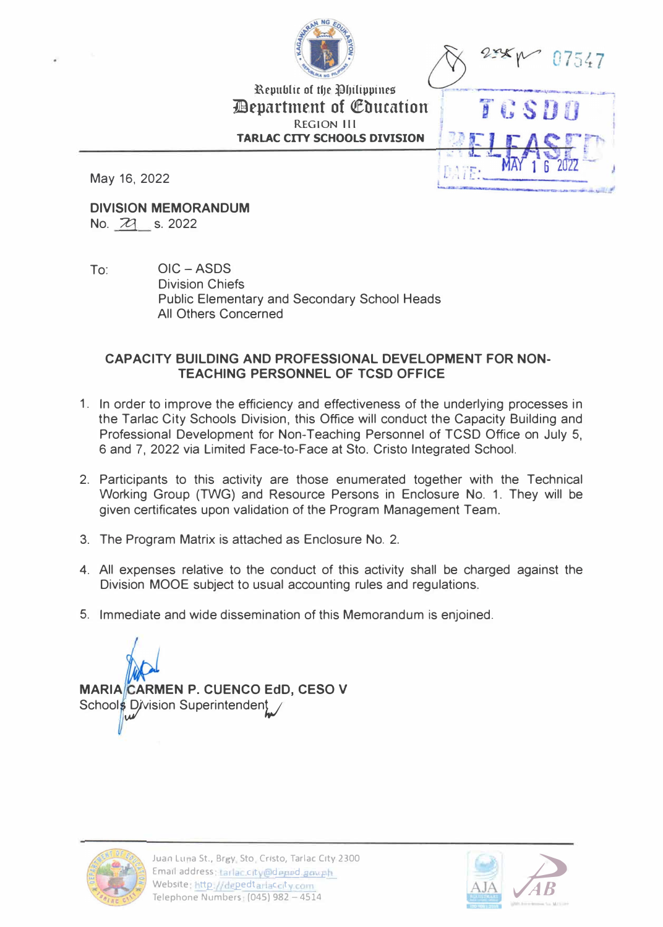

**TGSD** 

Republic of the Philippines *Department of Education* **REGION Ill TARLAC CITY SCHOOLS DIVISION** 

May 16, 2022

**DIVISION MEMORANDUM**  No. 29 s. 2022

To: OIC-ASDS Division Chiefs Public Elementary and Secondary School Heads All Others Concerned

# **CAPACITY BUILDING AND PROFESSIONAL DEVELOPMENT FOR NON-TEACHING PERSONNEL OF TCSD OFFICE**

- 1. In order to improve the efficiency and effectiveness of the underlying processes in the Tarlac City Schools Division, this Office will conduct the Capacity Building and Professional Development for Non-Teaching Personnel of TCSD Office on July 5, 6 and 7, 2022 via Limited Face-to-Face at Sto. Cristo Integrated School.
- 2. Participants to this activity are those enumerated together with the Technical Working Group (TWG) and Resource Persons in Enclosure No. 1. They will be given certificates upon validation of the Program Management Team.
- 3. The Program Matrix is attached as Enclosure No. 2.
- 4. All expenses relative to the conduct of this activity shall be charged against the Division MOOE subject to usual accounting rules and regulations.
- 5. Immediate and wide dissemination of this Memorandum is enjoined.





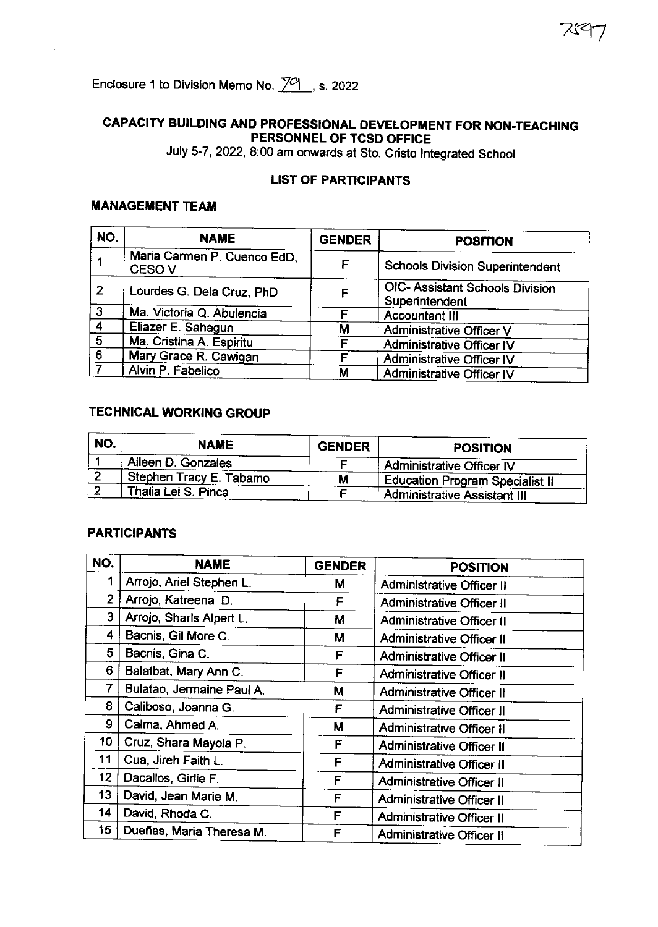# CAPACITY BUILDING AND PROFESSIONAL DEVELOPMENT FOR NON-TEACHING PERSONNEL OF TCSD OFFICE

バマ

July 5-7, 2022, 8:00 am onwards at Sto. Cristo Integrated School

# **LIST OF PARTICIPANTS**

## **MANAGEMENT TEAM**

| NO.            | <b>NAME</b>                                      | <b>GENDER</b> | <b>POSITION</b>                                          |
|----------------|--------------------------------------------------|---------------|----------------------------------------------------------|
|                | Maria Carmen P. Cuenco EdD,<br>CESO <sub>V</sub> | F             | <b>Schools Division Superintendent</b>                   |
| $\overline{2}$ | Lourdes G. Dela Cruz, PhD                        |               | <b>OIC- Assistant Schools Division</b><br>Superintendent |
| $\overline{3}$ | Ma. Victoria Q. Abulencia                        |               | <b>Accountant III</b>                                    |
| $\frac{4}{5}$  | Eliazer E. Sahagun                               | М             | <b>Administrative Officer V</b>                          |
|                | Ma. Cristina A. Espiritu                         |               | <b>Administrative Officer IV</b>                         |
| 6              | Mary Grace R. Cawigan                            |               | <b>Administrative Officer IV</b>                         |
|                | Alvin P. Fabelico                                | М             | <b>Administrative Officer IV</b>                         |

## **TECHNICAL WORKING GROUP**

| NO. | <b>NAME</b>               | <b>GENDER</b> | <b>POSITION</b>                     |
|-----|---------------------------|---------------|-------------------------------------|
|     | Aileen D. Gonzales        |               | Administrative Officer IV           |
|     | . Stephen Tracy E. Tabamo | М             | Education Program Specialist II     |
|     | Thalia Lei S. Pinca       |               | <b>Administrative Assistant III</b> |

### **PARTICIPANTS**

| NO.              | <b>NAME</b>               | <b>GENDER</b> |                                  |
|------------------|---------------------------|---------------|----------------------------------|
|                  |                           |               | <b>POSITION</b>                  |
|                  | Arrojo, Ariel Stephen L.  | М             | <b>Administrative Officer II</b> |
| $\mathbf{2}$     | Arrojo, Katreena D.       | F             | <b>Administrative Officer II</b> |
| 3                | Arrojo, Sharls Alpert L.  | M             | <b>Administrative Officer II</b> |
| 4                | Bacnis, Gil More C.       | М             | <b>Administrative Officer II</b> |
| 5                | Bacnis, Gina C.           | F             | <b>Administrative Officer II</b> |
| 6                | Balatbat, Mary Ann C.     | F             | <b>Administrative Officer II</b> |
| $\overline{7}$   | Bulatao, Jermaine Paul A. | M             | <b>Administrative Officer II</b> |
| 8                | Caliboso, Joanna G.       | F             | <b>Administrative Officer II</b> |
| 9                | Calma, Ahmed A.           | M             | <b>Administrative Officer II</b> |
| 10               | Cruz, Shara Mayola P.     | F             | <b>Administrative Officer II</b> |
| 11               | Cua, Jireh Faith L.       | F             | Administrative Officer II        |
| 12               | Dacallos, Girlie F.       | F             | <b>Administrative Officer II</b> |
| 13 <sup>13</sup> | David, Jean Marie M.      | F             | <b>Administrative Officer II</b> |
| 14               | David, Rhoda C.           | F             | <b>Administrative Officer II</b> |
| 15 <sub>15</sub> | Dueñas, Maria Theresa M.  | F             | <b>Administrative Officer II</b> |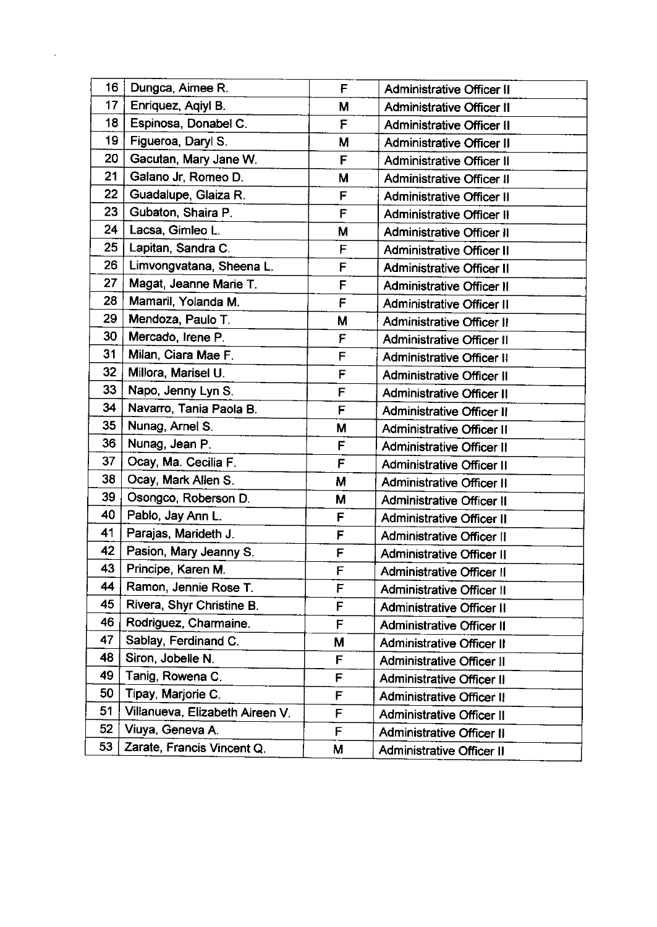| 16 | Dungca, Aimee R.                | F | <b>Administrative Officer II</b> |
|----|---------------------------------|---|----------------------------------|
| 17 | Enriquez, Agiyl B.              | M | Administrative Officer II        |
| 18 | Espinosa, Donabel C.            | F | <b>Administrative Officer II</b> |
| 19 | Figueroa, Daryl S.              | М | <b>Administrative Officer II</b> |
| 20 | Gacutan, Mary Jane W.           | F | <b>Administrative Officer II</b> |
| 21 | Galano Jr, Romeo D.             | M | <b>Administrative Officer II</b> |
| 22 | Guadalupe, Glaiza R.            | F | <b>Administrative Officer II</b> |
| 23 | Gubaton, Shaira P.              | F | <b>Administrative Officer II</b> |
| 24 | Lacsa, Gimleo L.                | M | <b>Administrative Officer II</b> |
| 25 | Lapitan, Sandra C.              | F | <b>Administrative Officer II</b> |
| 26 | Limvongvatana, Sheena L.        | F | <b>Administrative Officer II</b> |
| 27 | Magat, Jeanne Marie T.          | F | <b>Administrative Officer II</b> |
| 28 | Mamaril, Yolanda M.             | F | <b>Administrative Officer II</b> |
| 29 | Mendoza, Paulo T.               | M | <b>Administrative Officer II</b> |
| 30 | Mercado, Irene P.               | F | <b>Administrative Officer II</b> |
| 31 | Milan, Ciara Mae F.             | F | <b>Administrative Officer II</b> |
| 32 | Millora, Marisel U.             | F | <b>Administrative Officer II</b> |
| 33 | Napo, Jenny Lyn S.              | F | <b>Administrative Officer II</b> |
| 34 | Navarro, Tania Paola B.         | F | <b>Administrative Officer II</b> |
| 35 | Nunag, Arnel S.                 | M | <b>Administrative Officer II</b> |
| 36 | Nunag, Jean P.                  | F | <b>Administrative Officer II</b> |
| 37 | Ocay, Ma. Cecilia F.            | F | <b>Administrative Officer II</b> |
| 38 | Ocay, Mark Allen S.             | M | <b>Administrative Officer II</b> |
| 39 | Osongco, Roberson D.            | M | <b>Administrative Officer II</b> |
| 40 | Pablo, Jay Ann L.               | F | <b>Administrative Officer II</b> |
| 41 | Parajas, Marideth J.            | F | Administrative Officer II        |
| 42 | Pasion, Mary Jeanny S.          | F | <b>Administrative Officer II</b> |
| 43 | Principe, Karen M.              | F | <b>Administrative Officer II</b> |
| 44 | Ramon, Jennie Rose T.           | F | <b>Administrative Officer II</b> |
| 45 | Rivera, Shyr Christine B.       | F | <b>Administrative Officer II</b> |
| 46 | Rodriguez, Charmaine.           | F | <b>Administrative Officer II</b> |
| 47 | Sablay, Ferdinand C.            | М | <b>Administrative Officer II</b> |
| 48 | Siron, Jobelle N.               | F | <b>Administrative Officer II</b> |
| 49 | Tanig, Rowena C.                | F | <b>Administrative Officer II</b> |
| 50 | Tipay, Marjorie C.              | F | <b>Administrative Officer II</b> |
| 51 | Villanueva, Elizabeth Aireen V. | F | <b>Administrative Officer II</b> |
| 52 | Viuya, Geneva A.                | F | <b>Administrative Officer II</b> |
| 53 | Zarate, Francis Vincent Q.      | M | <b>Administrative Officer II</b> |